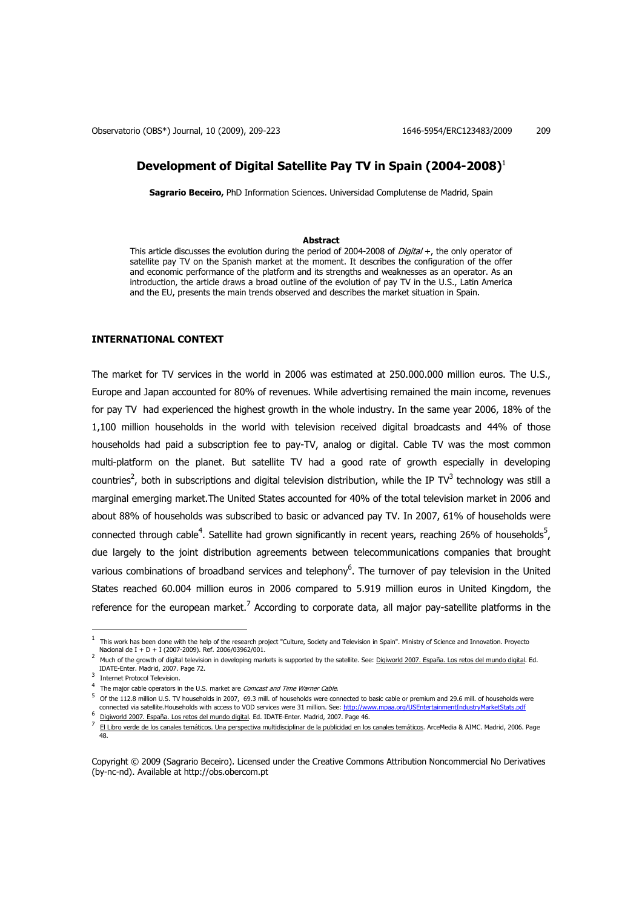# **Development of Digital Satellite Pay TV in Spain (2004-2008)**<sup>1</sup>

**Sagrario Beceiro,** PhD Information Sciences. Universidad Complutense de Madrid, Spain

### **Abstract**

This article discusses the evolution during the period of 2004-2008 of  $Digital +$ , the only operator of satellite pay TV on the Spanish market at the moment. It describes the configuration of the offer and economic performance of the platform and its strengths and weaknesses as an operator. As an introduction, the article draws a broad outline of the evolution of pay TV in the U.S., Latin America and the EU, presents the main trends observed and describes the market situation in Spain.

# **INTERNATIONAL CONTEXT**

The market for TV services in the world in 2006 was estimated at 250.000.000 million euros. The U.S., Europe and Japan accounted for 80% of revenues. While advertising remained the main income, revenues for pay TV had experienced the highest growth in the whole industry. In the same year 2006, 18% of the 1,100 million households in the world with television received digital broadcasts and 44% of those households had paid a subscription fee to pay-TV, analog or digital. Cable TV was the most common multi-platform on the planet. But satellite TV had a good rate of growth especially in developing countries<sup>2</sup>, both in subscriptions and digital television distribution, while the IP TV<sup>3</sup> technology was still a marginal emerging market.The United States accounted for 40% of the total television market in 2006 and about 88% of households was subscribed to basic or advanced pay TV. In 2007, 61% of households were connected through cable<sup>4</sup>. Satellite had grown significantly in recent years, reaching 26% of households<sup>5</sup>, due largely to the joint distribution agreements between telecommunications companies that brought various combinations of broadband services and telephony<sup>6</sup>. The turnover of pay television in the United States reached 60.004 million euros in 2006 compared to 5.919 million euros in United Kingdom, the reference for the european market.<sup>7</sup> According to corporate data, all major pay-satellite platforms in the

 $^1$  This work has been done with the help of the research project "Culture, Society and Television in Spain". Ministry of Science and Innovation. Proyecto Nacional de I + D + I (2007-2009). Ref. 2006/03962/001.

<sup>2</sup> Much of the growth of digital television in developing markets is supported by the satellite. See: Digiworld 2007. España. Los retos del mundo digital. Ed. IDATE-Enter. Madrid, 2007. Page 72.

<sup>3</sup> Internet Protocol Television.

<sup>&</sup>lt;sup>4</sup> The major cable operators in the U.S. market are *Comcast and Time Warner Cable*.

 $^5$  Of the 112.8 million U.S. TV households in 2007, 69.3 mill. of households were connected to basic cable or premium and 29.6 mill. of households were connected via satellite.Households with access to VOD services were 31 million. See: http://www.mpaa.org/USEntertainmentIndustryMarketStats.pdf 6

Digiworld 2007. España. Los retos del mundo digital. Ed. IDATE-Enter. Madrid, 2007. Page 46.

<sup>7</sup> El Libro verde de los canales temáticos. Una perspectiva multidisciplinar de la publicidad en los canales temáticos. ArceMedia & AIMC. Madrid, 2006. Page 48.

Copyright © 2009 (Sagrario Beceiro). Licensed under the Creative Commons Attribution Noncommercial No Derivatives (by-nc-nd). Available at http://obs.obercom.pt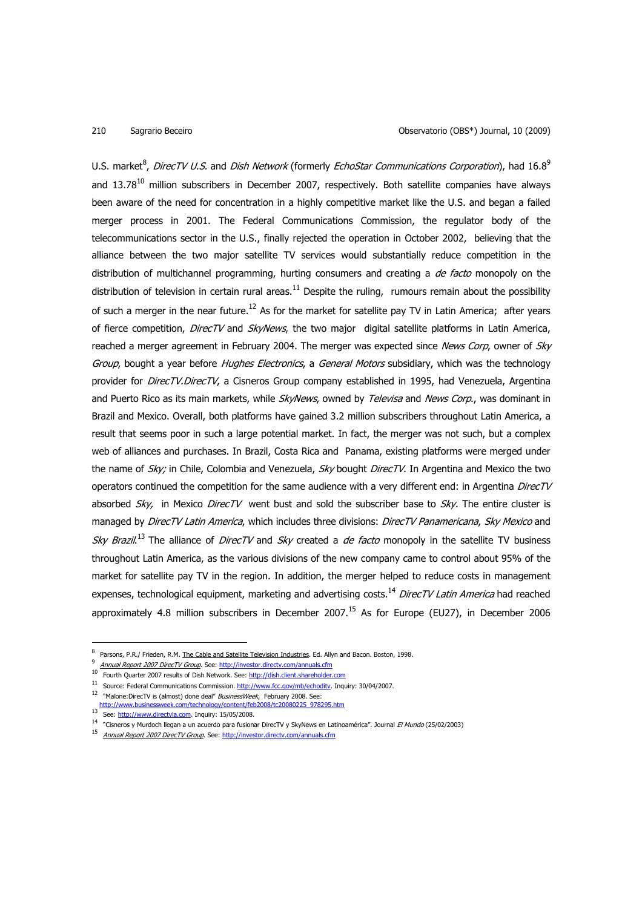U.S. market $^8$ , *DirecTV U.S.* and *Dish Network* (formerly *EchoStar Communications Corporation*), had 16.8<sup>9</sup> and  $13.78<sup>10</sup>$  million subscribers in December 2007, respectively. Both satellite companies have always been aware of the need for concentration in a highly competitive market like the U.S. and began a failed merger process in 2001. The Federal Communications Commission, the regulator body of the telecommunications sector in the U.S., finally rejected the operation in October 2002, believing that the alliance between the two major satellite TV services would substantially reduce competition in the distribution of multichannel programming, hurting consumers and creating a *de facto* monopoly on the distribution of television in certain rural areas.<sup>11</sup> Despite the ruling, rumours remain about the possibility of such a merger in the near future.<sup>12</sup> As for the market for satellite pay TV in Latin America; after years of fierce competition, DirecTV and SkyNews, the two major digital satellite platforms in Latin America, reached a merger agreement in February 2004. The merger was expected since News Corp, owner of Sky Group, bought a year before *Hughes Electronics*, a General Motors subsidiary, which was the technology provider for *DirecTV. DirecTV*, a Cisneros Group company established in 1995, had Venezuela, Argentina and Puerto Rico as its main markets, while SkyNews, owned by Televisa and News Corp., was dominant in Brazil and Mexico. Overall, both platforms have gained 3.2 million subscribers throughout Latin America, a result that seems poor in such a large potential market. In fact, the merger was not such, but a complex web of alliances and purchases. In Brazil, Costa Rica and Panama, existing platforms were merged under the name of Sky; in Chile, Colombia and Venezuela, Sky bought DirecTV. In Argentina and Mexico the two operators continued the competition for the same audience with a very different end: in Argentina DirecTV absorbed  $Sky$ , in Mexico DirecTV went bust and sold the subscriber base to  $Sky$ . The entire cluster is managed by DirecTV Latin America, which includes three divisions: DirecTV Panamericana, Sky Mexico and Sky Brazil.<sup>13</sup> The alliance of DirecTV and Sky created a de facto monopoly in the satellite TV business throughout Latin America, as the various divisions of the new company came to control about 95% of the market for satellite pay TV in the region. In addition, the merger helped to reduce costs in management expenses, technological equipment, marketing and advertising costs.<sup>14</sup> DirecTV Latin America had reached approximately 4.8 million subscribers in December 2007.<sup>15</sup> As for Europe (EU27), in December 2006

<sup>8</sup> Parsons, P.R./ Frieden, R.M. The Cable and Satellite Television Industries. Ed. Allyn and Bacon. Boston, 1998.

 $\alpha$ Annual Report 2007 DirecTV Group. See: http://investor.directv.com/annuals.cfm

<sup>&</sup>lt;sup>10</sup> Fourth Quarter 2007 results of Dish Network. See: http://dish.client.shareholder.com

<sup>&</sup>lt;sup>11</sup> Source: Federal Communications Commission. http://www.fcc.gov/mb/echodity. Inquiry: 30/04/2007.

<sup>&</sup>lt;sup>12</sup> "Malone:DirecTV is (almost) done deal" BusinessWeek, February 2008. See:

http://www.businessweek.com/technology/content/feb2008/tc20080225\_978295.htm

<sup>&</sup>lt;sup>13</sup> See: http://www.directvla.com. Inquiry: 15/05/2008.

<sup>&</sup>lt;sup>14</sup> "Cisneros y Murdoch llegan a un acuerdo para fusionar DirecTV y SkyNews en Latinoamérica". Journal *El Mundo* (25/02/2003)

<sup>&</sup>lt;sup>15</sup> Annual Report 2007 DirecTV Group. See: http://investor.directv.com/annuals.cfm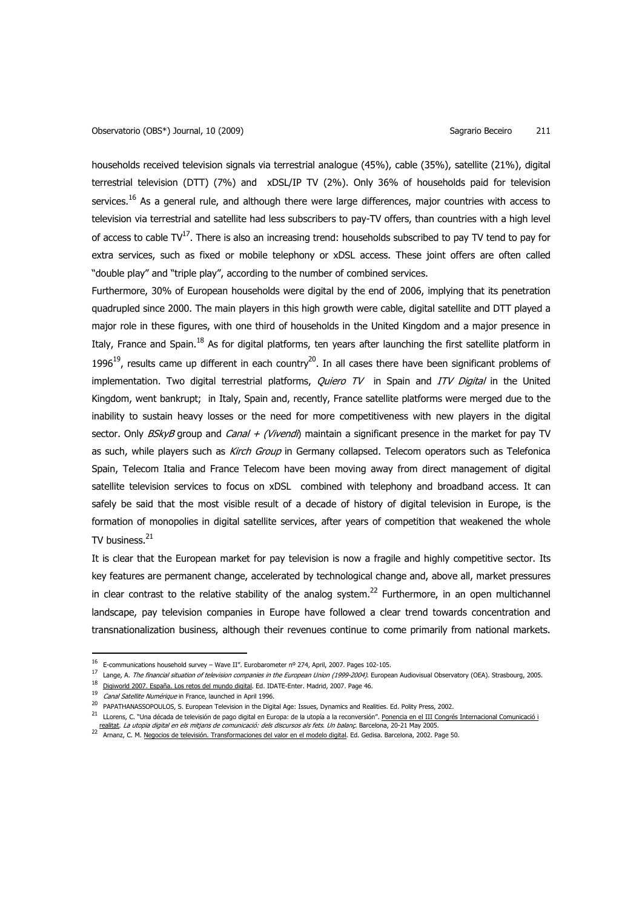households received television signals via terrestrial analogue (45%), cable (35%), satellite (21%), digital terrestrial television (DTT) (7%) and xDSL/IP TV (2%). Only 36% of households paid for television services.<sup>16</sup> As a general rule, and although there were large differences, major countries with access to television via terrestrial and satellite had less subscribers to pay-TV offers, than countries with a high level of access to cable  $TV^{17}$ . There is also an increasing trend: households subscribed to pay TV tend to pay for extra services, such as fixed or mobile telephony or xDSL access. These joint offers are often called "double play" and "triple play", according to the number of combined services.

Furthermore, 30% of European households were digital by the end of 2006, implying that its penetration quadrupled since 2000. The main players in this high growth were cable, digital satellite and DTT played a major role in these figures, with one third of households in the United Kingdom and a major presence in Italy, France and Spain.<sup>18</sup> As for digital platforms, ten years after launching the first satellite platform in 1996<sup>19</sup>, results came up different in each country<sup>20</sup>. In all cases there have been significant problems of implementation. Two digital terrestrial platforms, *Quiero TV* in Spain and *ITV Digital* in the United Kingdom, went bankrupt; in Italy, Spain and, recently, France satellite platforms were merged due to the inability to sustain heavy losses or the need for more competitiveness with new players in the digital sector. Only BSkyB group and Canal + (Vivendi) maintain a significant presence in the market for pay TV as such, while players such as Kirch Group in Germany collapsed. Telecom operators such as Telefonica Spain, Telecom Italia and France Telecom have been moving away from direct management of digital satellite television services to focus on xDSL combined with telephony and broadband access. It can safely be said that the most visible result of a decade of history of digital television in Europe, is the formation of monopolies in digital satellite services, after years of competition that weakened the whole TV business. $21$ 

It is clear that the European market for pay television is now a fragile and highly competitive sector. Its key features are permanent change, accelerated by technological change and, above all, market pressures in clear contrast to the relative stability of the analog system.<sup>22</sup> Furthermore, in an open multichannel landscape, pay television companies in Europe have followed a clear trend towards concentration and transnationalization business, although their revenues continue to come primarily from national markets.

<sup>&</sup>lt;sup>16</sup> E-communications household survey – Wave II". Eurobarometer nº 274, April, 2007. Pages 102-105.

<sup>&</sup>lt;sup>17</sup> Lange, A. The financial situation of television companies in the European Union (1999-2004). European Audiovisual Observatory (OEA). Strasbourg, 2005. <sup>18</sup> Digiworld 2007. España. Los retos del mundo digital. Ed. IDATE-Enter. Madrid, 2007. Page 46.

<sup>&</sup>lt;sup>19</sup> Canal Satellite Numérique in France, launched in April 1996.

<sup>&</sup>lt;sup>20</sup> PAPATHANASSOPOULOS, S. European Television in the Digital Age: Issues, Dynamics and Realities. Ed. Polity Press, 2002.

<sup>&</sup>lt;sup>21</sup> LLorens, C. "Una década de televisión de pago digital en Europa: de la utopía a la reconversión". <u>Ponencia en el III Congrés Internacional Comunicació i</u> realitat. La utopia digital en els mitjans de comunicació: dels discursos als fets. Un balanç. Barcelona, 20-21 May 2005.

<sup>&</sup>lt;sup>22</sup> Arnanz, C. M. <u>Negocios de televisión. Transformaciones del valor en el modelo digital</u>. Ed. Gedisa. Barcelona, 2002. Page 50.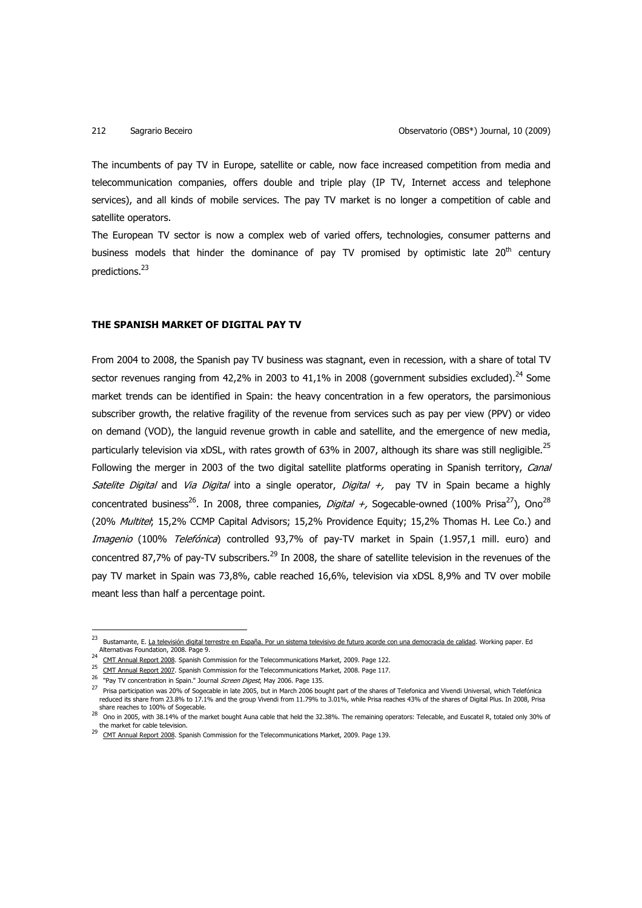The incumbents of pay TV in Europe, satellite or cable, now face increased competition from media and telecommunication companies, offers double and triple play (IP TV, Internet access and telephone services), and all kinds of mobile services. The pay TV market is no longer a competition of cable and satellite operators.

The European TV sector is now a complex web of varied offers, technologies, consumer patterns and business models that hinder the dominance of pay TV promised by optimistic late  $20<sup>th</sup>$  century predictions.<sup>23</sup>

# **THE SPANISH MARKET OF DIGITAL PAY TV**

From 2004 to 2008, the Spanish pay TV business was stagnant, even in recession, with a share of total TV sector revenues ranging from 42.2% in 2003 to 41.1% in 2008 (government subsidies excluded).<sup>24</sup> Some market trends can be identified in Spain: the heavy concentration in a few operators, the parsimonious subscriber growth, the relative fragility of the revenue from services such as pay per view (PPV) or video on demand (VOD), the languid revenue growth in cable and satellite, and the emergence of new media, particularly television via xDSL, with rates growth of 63% in 2007, although its share was still neqligible.<sup>25</sup> Following the merger in 2003 of the two digital satellite platforms operating in Spanish territory, Canal Satelite Digital and Via Digital into a single operator, Digital +, pay TV in Spain became a highly concentrated business<sup>26</sup>. In 2008, three companies, *Digital +*, Sogecable-owned (100% Prisa<sup>27</sup>), Ono<sup>28</sup> (20% Multitel; 15,2% CCMP Capital Advisors; 15,2% Providence Equity; 15,2% Thomas H. Lee Co.) and Imagenio (100% Telefónica) controlled 93,7% of pay-TV market in Spain (1.957,1 mill. euro) and concentred 87,7% of pay-TV subscribers.<sup>29</sup> In 2008, the share of satellite television in the revenues of the pay TV market in Spain was 73,8%, cable reached 16,6%, television via xDSL 8,9% and TV over mobile meant less than half a percentage point.

<sup>&</sup>lt;sup>23</sup> Bustamante, E. <u>La televisión digital terrestre en España. Por un sistema televisivo de futuro acorde con una democracia de calidad. Working paper. Ed</u> Alternativas Foundation, 2008. Page 9.  $24$ 

CMT Annual Report 2008. Spanish Commission for the Telecommunications Market, 2009. Page 122.

<sup>&</sup>lt;sup>25</sup> CMT Annual Report 2007. Spanish Commission for the Telecommunications Market, 2008. Page 117.

<sup>&</sup>lt;sup>26</sup> "Pay TV concentration in Spain." Journal Screen Digest, May 2006. Page 135.

 $^{27}$  Prisa participation was 20% of Sogecable in late 2005, but in March 2006 bought part of the shares of Telefonica and Vivendi Universal, which Telefónica reduced its share from 23.8% to 17.1% and the group Vivendi from 11.79% to 3.01%, while Prisa reaches 43% of the shares of Digital Plus. In 2008, Prisa share reaches to 100% of Sogecable.

 $^{28}$  Ono in 2005, with 38.14% of the market bought Auna cable that held the 32.38%. The remaining operators: Telecable, and Euscatel R, totaled only 30% of the market for cable television.

<sup>&</sup>lt;sup>29</sup> CMT Annual Report 2008. Spanish Commission for the Telecommunications Market, 2009. Page 139.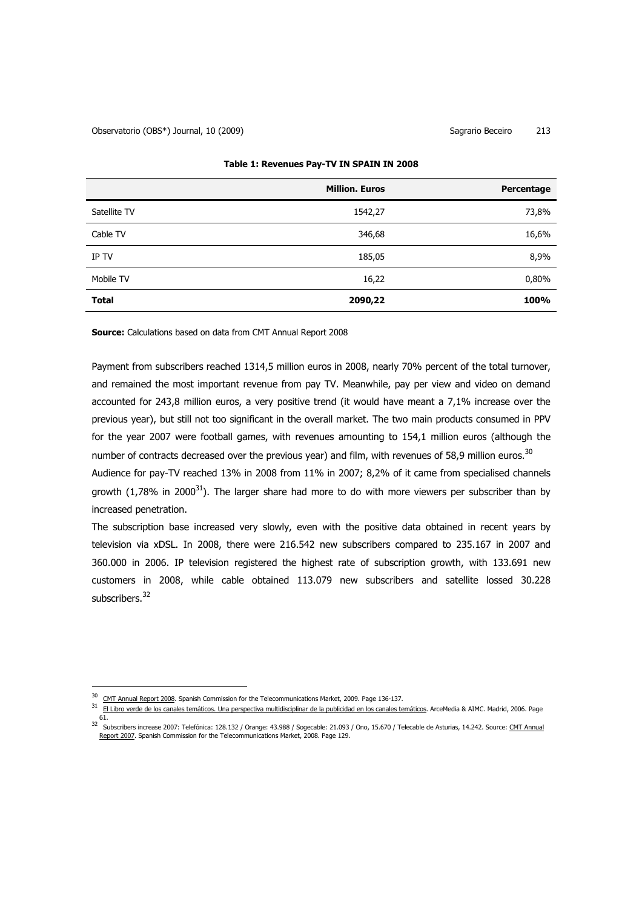|              | <b>Million. Euros</b> | Percentage |
|--------------|-----------------------|------------|
| Satellite TV | 1542,27               | 73,8%      |
| Cable TV     | 346,68                | 16,6%      |
| IP TV        | 185,05                | 8,9%       |
| Mobile TV    | 16,22                 | 0,80%      |
| <b>Total</b> | 2090,22               | 100%       |

## **Table 1: Revenues Pay-TV IN SPAIN IN 2008**

**Source:** Calculations based on data from CMT Annual Report 2008

Payment from subscribers reached 1314,5 million euros in 2008, nearly 70% percent of the total turnover, and remained the most important revenue from pay TV. Meanwhile, pay per view and video on demand accounted for 243,8 million euros, a very positive trend (it would have meant a 7,1% increase over the previous year), but still not too significant in the overall market. The two main products consumed in PPV for the year 2007 were football games, with revenues amounting to 154,1 million euros (although the number of contracts decreased over the previous year) and film, with revenues of 58,9 million euros.<sup>30</sup>

Audience for pay-TV reached 13% in 2008 from 11% in 2007; 8,2% of it came from specialised channels growth (1,78% in 2000<sup>31</sup>). The larger share had more to do with more viewers per subscriber than by increased penetration.

The subscription base increased very slowly, even with the positive data obtained in recent years by television via xDSL. In 2008, there were 216.542 new subscribers compared to 235.167 in 2007 and 360.000 in 2006. IP television registered the highest rate of subscription growth, with 133.691 new customers in 2008, while cable obtained 113.079 new subscribers and satellite lossed 30.228 subscribers.<sup>32</sup>

<sup>30</sup> CMT Annual Report 2008. Spanish Commission for the Telecommunications Market, 2009. Page 136-137.

<sup>31</sup> El Libro verde de los canales temáticos. Una perspectiva multidisciplinar de la publicidad en los canales temáticos. ArceMedia & AIMC. Madrid, 2006. Page 61.

<sup>32</sup> Subscribers increase 2007: Telefónica: 128.132 / Orange: 43.988 / Sogecable: 21.093 / Ono, 15.670 / Telecable de Asturias, 14.242. Source: CMT Annual Report 2007. Spanish Commission for the Telecommunications Market, 2008. Page 129.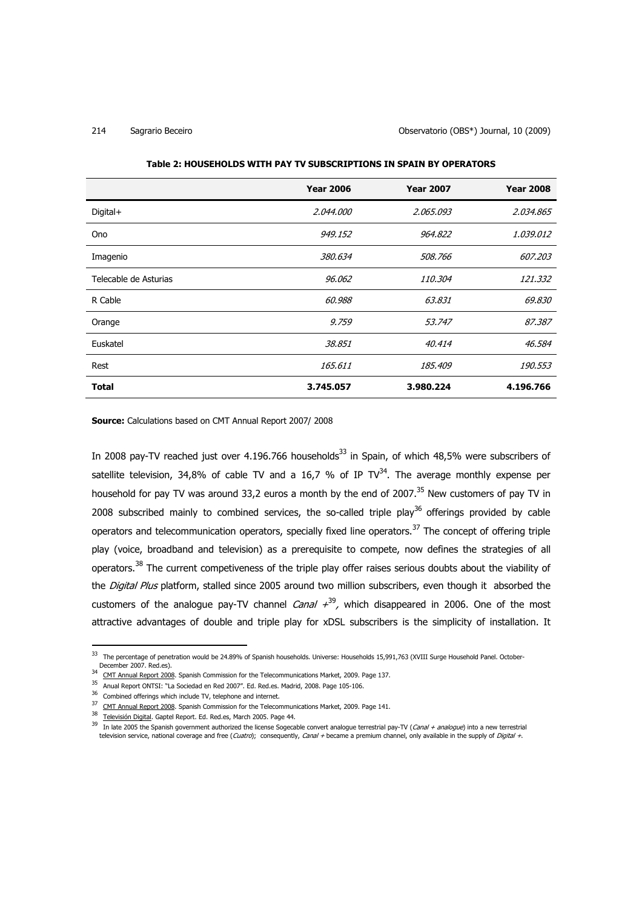### 214 Sagrario Beceiro Observatorio (OBS\*) Journal, 10 (2009)

|                       | <b>Year 2006</b> | <b>Year 2007</b> | <b>Year 2008</b> |
|-----------------------|------------------|------------------|------------------|
| $Digital +$           | 2.044.000        | 2.065.093        | 2.034.865        |
| <b>Ono</b>            | 949.152          | 964.822          | 1.039.012        |
| Imagenio              | 380.634          | 508.766          | 607.203          |
| Telecable de Asturias | 96.062           | <i>110.304</i>   | 121.332          |
| R Cable               | 60.988           | 63.831           | 69.830           |
| Orange                | 9.759            | 53.747           | 87.387           |
| Euskatel              | 38.851           | 40.414           | 46.584           |
| Rest                  | 165.611          | 185.409          | 190.553          |
| <b>Total</b>          | 3.745.057        | 3.980.224        | 4.196.766        |

### **Table 2: HOUSEHOLDS WITH PAY TV SUBSCRIPTIONS IN SPAIN BY OPERATORS**

**Source:** Calculations based on CMT Annual Report 2007/ 2008

In 2008 pay-TV reached just over 4.196.766 households<sup>33</sup> in Spain, of which 48.5% were subscribers of satellite television, 34,8% of cable TV and a 16,7 % of IP TV $^{34}$ . The average monthly expense per household for pay TV was around 33,2 euros a month by the end of 2007.<sup>35</sup> New customers of pay TV in 2008 subscribed mainly to combined services, the so-called triple play<sup>36</sup> offerings provided by cable operators and telecommunication operators, specially fixed line operators.<sup>37</sup> The concept of offering triple play (voice, broadband and television) as a prerequisite to compete, now defines the strategies of all operators.<sup>38</sup> The current competiveness of the triple play offer raises serious doubts about the viability of the *Digital Plus* platform, stalled since 2005 around two million subscribers, even though it absorbed the customers of the analogue pay-TV channel *Canal*  $+^{39}$ , which disappeared in 2006. One of the most attractive advantages of double and triple play for xDSL subscribers is the simplicity of installation. It

l

<sup>33</sup> The percentage of penetration would be 24.89% of Spanish households. Universe: Households 15,991,763 (XVIII Surge Household Panel. October-December 2007. Red.es).

<sup>&</sup>lt;sup>34</sup> CMT Annual Report 2008. Spanish Commission for the Telecommunications Market, 2009. Page 137.

<sup>35</sup> Anual Report ONTSI: "La Sociedad en Red 2007". Ed. Red.es. Madrid, 2008. Page 105-106.

<sup>&</sup>lt;sup>36</sup> Combined offerings which include TV, telephone and internet.

<sup>&</sup>lt;sup>37</sup> CMT Annual Report 2008. Spanish Commission for the Telecommunications Market, 2009. Page 141.

<sup>38</sup> Televisión Digital. Gaptel Report. Ed. Red.es, March 2005. Page 44.

<sup>&</sup>lt;sup>39</sup> In late 2005 the Spanish government authorized the license Sogecable convert analogue terrestrial pay-TV (*Canal + analogue*) into a new terrestrial television service, national coverage and free (*Cuatro*); consequently, *Canal* + became a premium channel, only available in the supply of *Digital* +.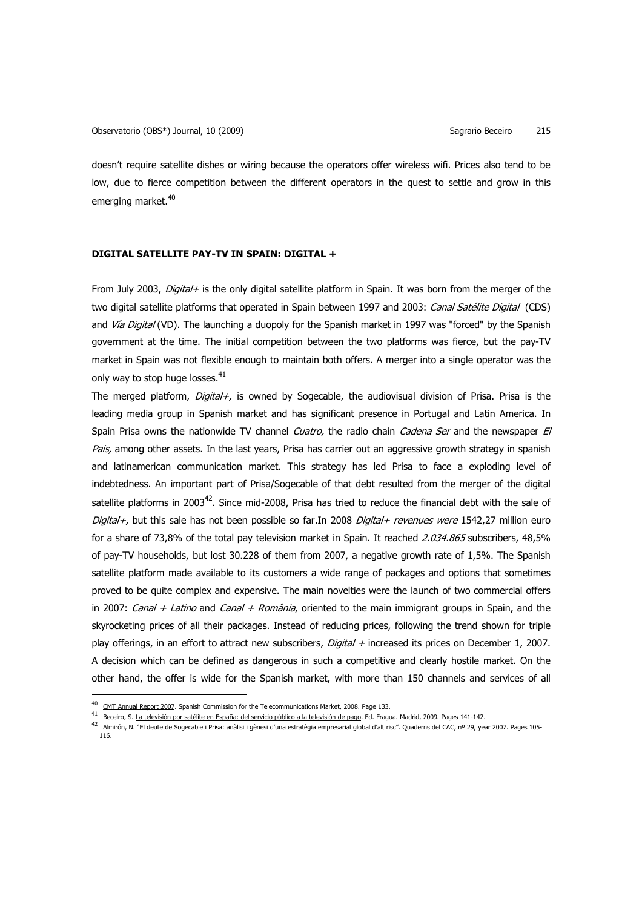doesn't require satellite dishes or wiring because the operators offer wireless wifi. Prices also tend to be low, due to fierce competition between the different operators in the quest to settle and grow in this emerging market.<sup>40</sup>

# **DIGITAL SATELLITE PAY-TV IN SPAIN: DIGITAL +**

From July 2003, Digital+ is the only digital satellite platform in Spain. It was born from the merger of the two digital satellite platforms that operated in Spain between 1997 and 2003: Canal Satélite Digital (CDS) and Vía Digital (VD). The launching a duopoly for the Spanish market in 1997 was "forced" by the Spanish government at the time. The initial competition between the two platforms was fierce, but the pay-TV market in Spain was not flexible enough to maintain both offers. A merger into a single operator was the only way to stop huge losses.<sup>41</sup>

The merged platform, *Digital+*, is owned by Sogecable, the audiovisual division of Prisa. Prisa is the leading media group in Spanish market and has significant presence in Portugal and Latin America. In Spain Prisa owns the nationwide TV channel *Cuatro*, the radio chain *Cadena Ser* and the newspaper El Pais, among other assets. In the last years, Prisa has carrier out an aggressive growth strategy in spanish and latinamerican communication market. This strategy has led Prisa to face a exploding level of indebtedness. An important part of Prisa/Sogecable of that debt resulted from the merger of the digital satellite platforms in 2003<sup>42</sup>. Since mid-2008, Prisa has tried to reduce the financial debt with the sale of Digital+, but this sale has not been possible so far.In 2008 Digital+ revenues were 1542,27 million euro for a share of 73,8% of the total pay television market in Spain. It reached 2.034.865 subscribers, 48,5% of pay-TV households, but lost 30.228 of them from 2007, a negative growth rate of 1,5%. The Spanish satellite platform made available to its customers a wide range of packages and options that sometimes proved to be quite complex and expensive. The main novelties were the launch of two commercial offers in 2007: Canal + Latino and Canal + România, oriented to the main immigrant groups in Spain, and the skyrocketing prices of all their packages. Instead of reducing prices, following the trend shown for triple play offerings, in an effort to attract new subscribers, *Digital +* increased its prices on December 1, 2007. A decision which can be defined as dangerous in such a competitive and clearly hostile market. On the other hand, the offer is wide for the Spanish market, with more than 150 channels and services of all

<sup>40</sup> CMT Annual Report 2007. Spanish Commission for the Telecommunications Market, 2008. Page 133.

<sup>&</sup>lt;sup>41</sup> Beceiro, S. <u>La televisión por satélite en España: del servicio público a la televisión de pago</u>. Ed. Fragua. Madrid, 2009. Pages 141-142.

<sup>42</sup> Almirón, N. "El deute de Sogecable i Prisa: anàlisi i gènesi d'una estratègia empresarial global d'alt risc". Quaderns del CAC, nº 29, year 2007. Pages 105- 116.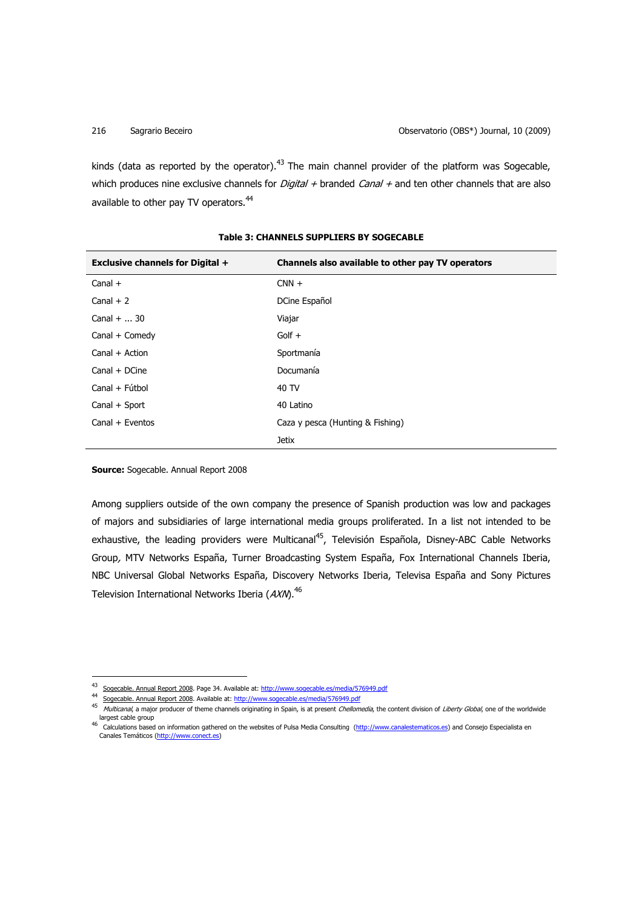kinds (data as reported by the operator).<sup>43</sup> The main channel provider of the platform was Sogecable, which produces nine exclusive channels for *Digital +* branded *Canal +* and ten other channels that are also available to other pay TV operators.<sup>44</sup>

| <b>Exclusive channels for Digital +</b> | Channels also available to other pay TV operators |
|-----------------------------------------|---------------------------------------------------|
| Canal $+$                               | $CNN +$                                           |
| Canal $+2$                              | DCine Español                                     |
| Canal $+  30$                           | Viajar                                            |
| Canal + Comedy                          | $G$ olf +                                         |
| $Canal + Action$                        | Sportmanía                                        |
| $Canal + DCine$                         | Documanía                                         |
| Canal + Fútbol                          | 40 TV                                             |
| Canal + Sport                           | 40 Latino                                         |
| Canal + Eventos                         | Caza y pesca (Hunting & Fishing)                  |
|                                         | <b>Jetix</b>                                      |

## **Table 3: CHANNELS SUPPLIERS BY SOGECABLE**

**Source:** Sogecable. Annual Report 2008

 $\overline{a}$ 

Among suppliers outside of the own company the presence of Spanish production was low and packages of majors and subsidiaries of large international media groups proliferated. In a list not intended to be exhaustive, the leading providers were Multicanal<sup>45</sup>, Televisión Española, Disney-ABC Cable Networks Group, MTV Networks España, Turner Broadcasting System España, Fox International Channels Iberia, NBC Universal Global Networks España, Discovery Networks Iberia, Televisa España and Sony Pictures Television International Networks Iberia ( $AXM$ ).<sup>46</sup>

<sup>&</sup>lt;sup>43</sup> Sogecable. Annual Report 2008. Page 34. Available at: http://www.sogecable.es/media/576949.pdf

<sup>44</sup> Sogecable. Annual Report 2008. Available at: http://www.sogecable.es/media/576949.pdf

<sup>&</sup>lt;sup>45</sup> Multicanal, a major producer of theme channels originating in Spain, is at present *Chellomedia*, the content division of *Liberty Global*, one of the worldwide largest cable group

<sup>&</sup>lt;sup>46</sup> Calculations based on information gathered on the websites of Pulsa Media Consulting (http://www.canalestematicos.es) and Consejo Especialista en Canales Temáticos (http://www.conect.es)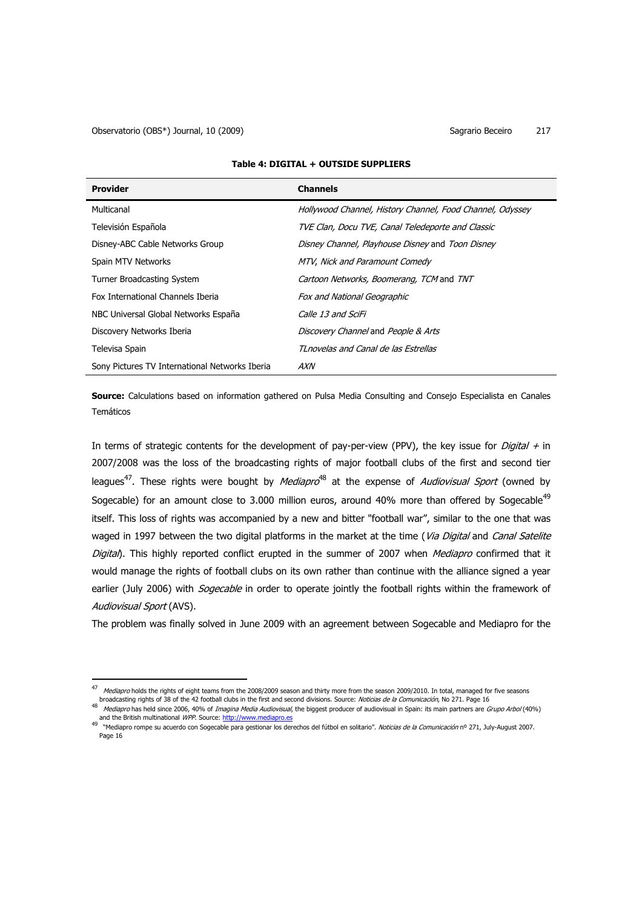l

| <b>Provider</b>                                | <b>Channels</b>                                           |
|------------------------------------------------|-----------------------------------------------------------|
| Multicanal                                     | Hollywood Channel, History Channel, Food Channel, Odyssey |
| Televisión Española                            | TVE Clan, Docu TVE, Canal Teledeporte and Classic         |
| Disney-ABC Cable Networks Group                | Disney Channel, Playhouse Disney and Toon Disney          |
| Spain MTV Networks                             | MTV, Nick and Paramount Comedy                            |
| Turner Broadcasting System                     | Cartoon Networks, Boomerang, TCM and TNT                  |
| Fox International Channels Iberia              | <b>Fox and National Geographic</b>                        |
| NBC Universal Global Networks España           | Calle 13 and SciFi                                        |
| Discovery Networks Iberia                      | Discovery Channel and People & Arts                       |
| Televisa Spain                                 | TLnovelas and Canal de las Estrellas                      |
| Sony Pictures TV International Networks Iberia | AXN                                                       |

## **Table 4: DIGITAL + OUTSIDE SUPPLIERS**

**Source:** Calculations based on information gathered on Pulsa Media Consulting and Consejo Especialista en Canales Temáticos

In terms of strategic contents for the development of pay-per-view (PPV), the key issue for *Digital +* in 2007/2008 was the loss of the broadcasting rights of major football clubs of the first and second tier leagues<sup>47</sup>. These rights were bought by *Mediapro*<sup>48</sup> at the expense of *Audiovisual Sport* (owned by Sogecable) for an amount close to 3.000 million euros, around 40% more than offered by Sogecable<sup>49</sup> itself. This loss of rights was accompanied by a new and bitter "football war", similar to the one that was waged in 1997 between the two digital platforms in the market at the time (Via Digital and Canal Satelite Digital). This highly reported conflict erupted in the summer of 2007 when Mediapro confirmed that it would manage the rights of football clubs on its own rather than continue with the alliance signed a year earlier (July 2006) with *Sogecable* in order to operate jointly the football rights within the framework of Audiovisual Sport (AVS).

The problem was finally solved in June 2009 with an agreement between Sogecable and Mediapro for the

<sup>&</sup>lt;sup>47</sup> Mediapro holds the rights of eight teams from the 2008/2009 season and thirty more from the season 2009/2010. In total, managed for five seasons broadcasting rights of 38 of the 42 football clubs in the first and second divisions. Source: Noticias de la Comunicación, No 271. Page 16

<sup>&</sup>lt;sup>48</sup> Mediapro has held since 2006, 40% of *Imagina Media Audiovisual*, the biggest producer of audiovisual in Spain: its main partners are *Grupo Arbol* (40%)

and the British multinational *WPP*. Source: <u>http://www.mediapro.es</u><br><sup>49</sup> "Mediapro rompe su acuerdo con Sogecable para gestionar los derechos del fútbol en solitario". *Noticias de la Comunicación* nº 271, July-August 20 Page 16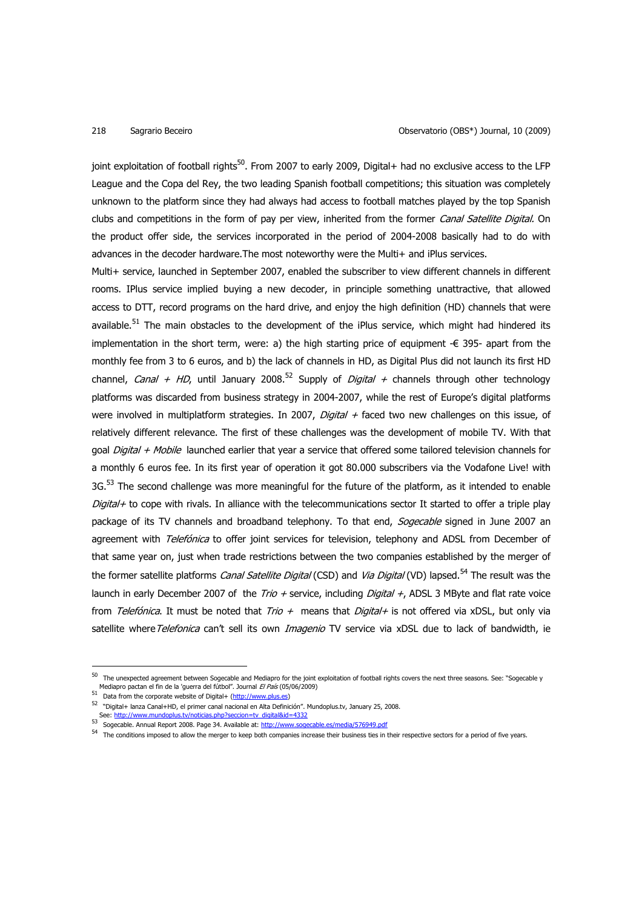joint exploitation of football rights<sup>50</sup>. From 2007 to early 2009, Digital+ had no exclusive access to the LFP League and the Copa del Rey, the two leading Spanish football competitions; this situation was completely unknown to the platform since they had always had access to football matches played by the top Spanish clubs and competitions in the form of pay per view, inherited from the former Canal Satellite Digital. On the product offer side, the services incorporated in the period of 2004-2008 basically had to do with advances in the decoder hardware.The most noteworthy were the Multi+ and iPlus services.

Multi+ service, launched in September 2007, enabled the subscriber to view different channels in different rooms. IPlus service implied buying a new decoder, in principle something unattractive, that allowed access to DTT, record programs on the hard drive, and enjoy the high definition (HD) channels that were available.<sup>51</sup> The main obstacles to the development of the iPlus service, which might had hindered its implementation in the short term, were: a) the high starting price of equipment -€ 395- apart from the monthly fee from 3 to 6 euros, and b) the lack of channels in HD, as Digital Plus did not launch its first HD channel, *Canal + HD*, until January 2008.<sup>52</sup> Supply of *Digital +* channels through other technology platforms was discarded from business strategy in 2004-2007, while the rest of Europe's digital platforms were involved in multiplatform strategies. In 2007, *Digital +* faced two new challenges on this issue, of relatively different relevance. The first of these challenges was the development of mobile TV. With that goal Digital + Mobile launched earlier that year a service that offered some tailored television channels for a monthly 6 euros fee. In its first year of operation it got 80.000 subscribers via the Vodafone Live! with  $3G<sub>53</sub>$  The second challenge was more meaningful for the future of the platform, as it intended to enable Digital+ to cope with rivals. In alliance with the telecommunications sector It started to offer a triple play package of its TV channels and broadband telephony. To that end, Sogecable signed in June 2007 an agreement with *Telefónica* to offer joint services for television, telephony and ADSL from December of that same year on, just when trade restrictions between the two companies established by the merger of the former satellite platforms *Canal Satellite Digital* (CSD) and *Via Digital* (VD) lapsed.<sup>54</sup> The result was the launch in early December 2007 of the Trio + service, including *Digital +*, ADSL 3 MByte and flat rate voice from Telefónica. It must be noted that Trio + means that Digital+ is not offered via xDSL, but only via satellite where Telefonica can't sell its own Imagenio TV service via xDSL due to lack of bandwidth, ie

<sup>50</sup> The unexpected agreement between Sogecable and Mediapro for the joint exploitation of football rights covers the next three seasons. See: "Sogecable y Mediapro pactan el fin de la 'guerra del fútbol". Journal El País (05/06/2009)

<sup>51</sup> Data from the corporate website of Digital+ (http://www.plus.es)

<sup>52</sup> "Digital+ lanza Canal+HD, el primer canal nacional en Alta Definición". Mundoplus.tv, January 25, 2008. See: http://www.mundoplus.tv/noticias.php?seccion=tv\_digital&id=4332

<sup>53</sup> Sogecable. Annual Report 2008. Page 34. Available at: http://www.sogecable.es/media/576949.pdf

<sup>54</sup> The conditions imposed to allow the merger to keep both companies increase their business ties in their respective sectors for a period of five years.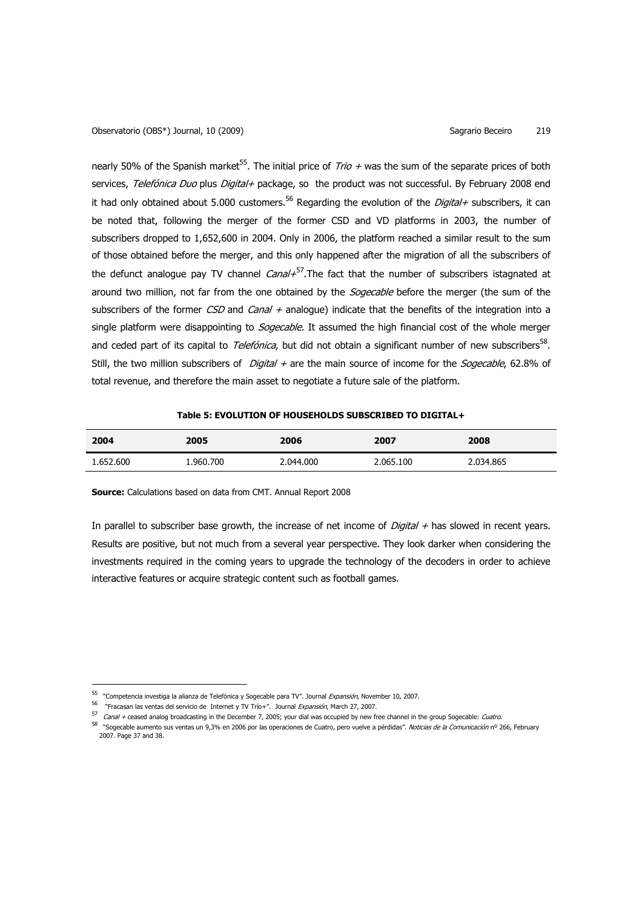nearly 50% of the Spanish market<sup>55</sup>. The initial price of *Trio +* was the sum of the separate prices of both services, Telefónica Duo plus Digital+ package, so the product was not successful. By February 2008 end it had only obtained about 5.000 customers.<sup>56</sup> Regarding the evolution of the *Digital+* subscribers, it can be noted that, following the merger of the former CSD and VD platforms in 2003, the number of subscribers dropped to 1,652,600 in 2004. Only in 2006, the platform reached a similar result to the sum of those obtained before the merger, and this only happened after the migration of all the subscribers of the defunct analogue pay TV channel *Canal+*<sup>57</sup>. The fact that the number of subscribers istagnated at around two million, not far from the one obtained by the *Sogecable* before the merger (the sum of the subscribers of the former CSD and Canal + analogue) indicate that the benefits of the integration into a single platform were disappointing to *Sogecable*. It assumed the high financial cost of the whole merger and ceded part of its capital to *Telefónica*, but did not obtain a significant number of new subscribers<sup>58</sup>. Still, the two million subscribers of *Digital +* are the main source of income for the *Sogecable*, 62.8% of total revenue, and therefore the main asset to negotiate a future sale of the platform.

## **Table 5: EVOLUTION OF HOUSEHOLDS SUBSCRIBED TO DIGITAL+**

| 2004      | 2005      | 2006      | 2007      | 2008      |
|-----------|-----------|-----------|-----------|-----------|
| 1.652.600 | 1.960.700 | 2.044.000 | 2.065.100 | 2.034.865 |

**Source:** Calculations based on data from CMT. Annual Report 2008

In parallel to subscriber base growth, the increase of net income of  $Digital +$  has slowed in recent years. Results are positive, but not much from a several year perspective. They look darker when considering the investments required in the coming years to upgrade the technology of the decoders in order to achieve interactive features or acquire strategic content such as football games.

l

<sup>&</sup>lt;sup>55</sup> "Competencia investiga la alianza de Telefónica y Sogecable para TV". Journal *Expansión*, November 10, 2007.

<sup>&</sup>lt;sup>56</sup> "Fracasan las ventas del servicio de Internet y TV Trío+". Journal Expansión, March 27, 2007.

<sup>57</sup> Canal + ceased analog broadcasting in the December 7, 2005; your dial was occupied by new free channel in the group Sogecable: Cuatro.

<sup>58 &</sup>quot;Sogecable aumento sus ventas un 9,3% en 2006 por las operaciones de Cuatro, pero vuelve a pérdidas". *Noticias de la Comunicación* nº 266, February 2007. Page 37 and 38.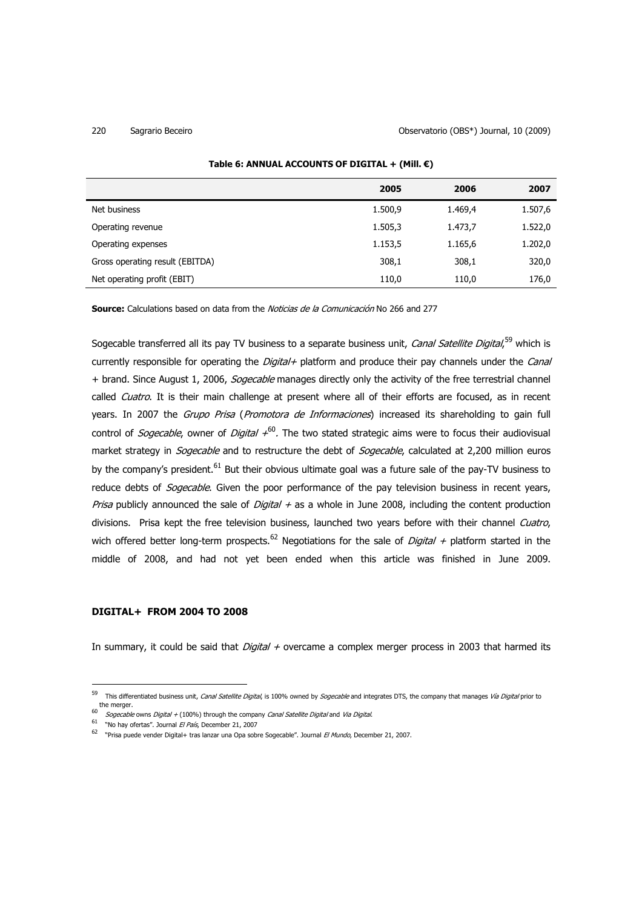|                                 | 2005    | 2006    | 2007    |
|---------------------------------|---------|---------|---------|
| Net business                    | 1.500,9 | 1.469,4 | 1.507,6 |
| Operating revenue               | 1.505,3 | 1.473,7 | 1.522,0 |
| Operating expenses              | 1.153,5 | 1.165,6 | 1.202,0 |
| Gross operating result (EBITDA) | 308,1   | 308,1   | 320,0   |
| Net operating profit (EBIT)     | 110,0   | 110,0   | 176,0   |

## **Table 6: ANNUAL ACCOUNTS OF DIGITAL + (Mill. €)**

**Source:** Calculations based on data from the Noticias de la Comunicación No 266 and 277

Sogecable transferred all its pay TV business to a separate business unit, *Canal Satellite Digital*,<sup>59</sup> which is currently responsible for operating the *Digital+* platform and produce their pay channels under the *Canal* + brand. Since August 1, 2006, Sogecable manages directly only the activity of the free terrestrial channel called *Cuatro*. It is their main challenge at present where all of their efforts are focused, as in recent years. In 2007 the Grupo Prisa (Promotora de Informaciones) increased its shareholding to gain full control of *Sogecable*, owner of *Digital +*<sup>60</sup>. The two stated strategic aims were to focus their audiovisual market strategy in *Sogecable* and to restructure the debt of *Sogecable*, calculated at 2,200 million euros by the company's president.<sup>61</sup> But their obvious ultimate goal was a future sale of the pay-TV business to reduce debts of *Sogecable*. Given the poor performance of the pay television business in recent years, Prisa publicly announced the sale of Digital  $+$  as a whole in June 2008, including the content production divisions. Prisa kept the free television business, launched two years before with their channel Cuatro, wich offered better long-term prospects.<sup>62</sup> Negotiations for the sale of *Digital +* platform started in the middle of 2008, and had not yet been ended when this article was finished in June 2009.

# **DIGITAL+ FROM 2004 TO 2008**

l

In summary, it could be said that *Digital +* overcame a complex merger process in 2003 that harmed its

<sup>59</sup> This differentiated business unit, *Canal Satellite Digital*, is 100% owned by *Sogecable* and integrates DTS, the company that manages *Vía Digital* prior to the merger.

<sup>60</sup> Sogecable owns Digital + (100%) through the company Canal Satellite Digital and Via Digital.

<sup>&</sup>lt;sup>61</sup> "No hay ofertas". Journal El País, December 21, 2007

<sup>&</sup>lt;sup>62</sup> "Prisa puede vender Digital+ tras lanzar una Opa sobre Sogecable". Journal *El Mundo*, December 21, 2007.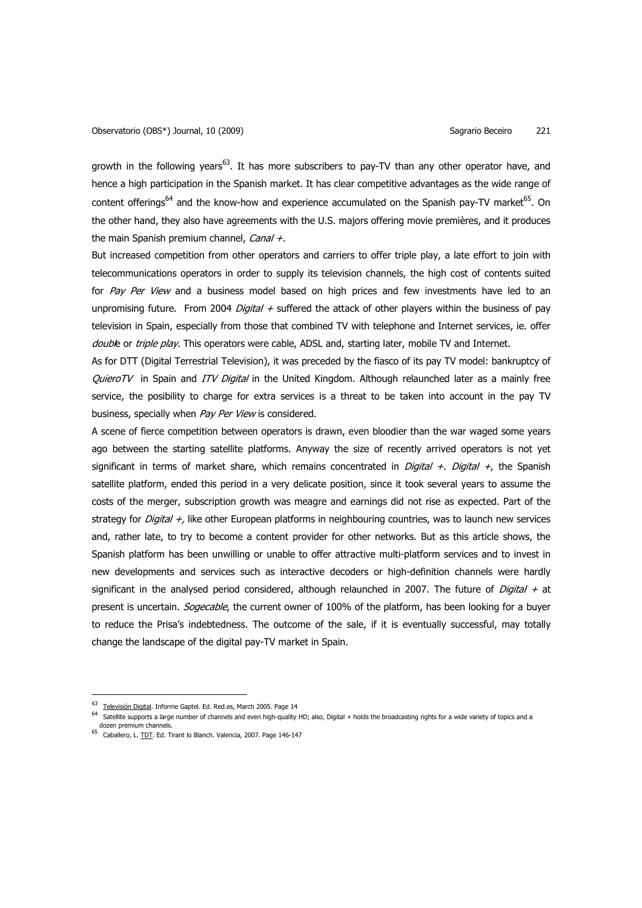growth in the following years<sup>63</sup>. It has more subscribers to pay-TV than any other operator have, and hence a high participation in the Spanish market. It has clear competitive advantages as the wide range of content offerings<sup>64</sup> and the know-how and experience accumulated on the Spanish pay-TV market<sup>65</sup>. On the other hand, they also have agreements with the U.S. majors offering movie premières, and it produces the main Spanish premium channel, Canal +.

But increased competition from other operators and carriers to offer triple play, a late effort to join with telecommunications operators in order to supply its television channels, the high cost of contents suited for Pay Per View and a business model based on high prices and few investments have led to an unpromising future. From 2004 *Digital +* suffered the attack of other players within the business of pay television in Spain, especially from those that combined TV with telephone and Internet services, ie. offer double or triple play. This operators were cable, ADSL and, starting later, mobile TV and Internet.

As for DTT (Digital Terrestrial Television), it was preceded by the fiasco of its pay TV model: bankruptcy of QuieroTV in Spain and ITV Digital in the United Kingdom. Although relaunched later as a mainly free service, the posibility to charge for extra services is a threat to be taken into account in the pay TV business, specially when Pay Per View is considered.

A scene of fierce competition between operators is drawn, even bloodier than the war waged some years ago between the starting satellite platforms. Anyway the size of recently arrived operators is not yet significant in terms of market share, which remains concentrated in *Digital +. Digital +*, the Spanish satellite platform, ended this period in a very delicate position, since it took several years to assume the costs of the merger, subscription growth was meagre and earnings did not rise as expected. Part of the strategy for *Digital +,* like other European platforms in neighbouring countries, was to launch new services and, rather late, to try to become a content provider for other networks. But as this article shows, the Spanish platform has been unwilling or unable to offer attractive multi-platform services and to invest in new developments and services such as interactive decoders or high-definition channels were hardly significant in the analysed period considered, although relaunched in 2007. The future of *Digital +* at present is uncertain. *Sogecable*, the current owner of 100% of the platform, has been looking for a buyer to reduce the Prisa's indebtedness. The outcome of the sale, if it is eventually successful, may totally change the landscape of the digital pay-TV market in Spain.

<sup>&</sup>lt;sup>63</sup> Televisión Digital. Informe Gaptel. Ed. Red.es, March 2005. Page 14

<sup>64</sup> Satellite supports a large number of channels and even high-quality HD; also, Digital + holds the broadcasting rights for a wide variety of topics and a dozen premium channels.

<sup>&</sup>lt;sup>65</sup> Caballero, L. TDT. Ed. Tirant lo Blanch. Valencia, 2007. Page 146-147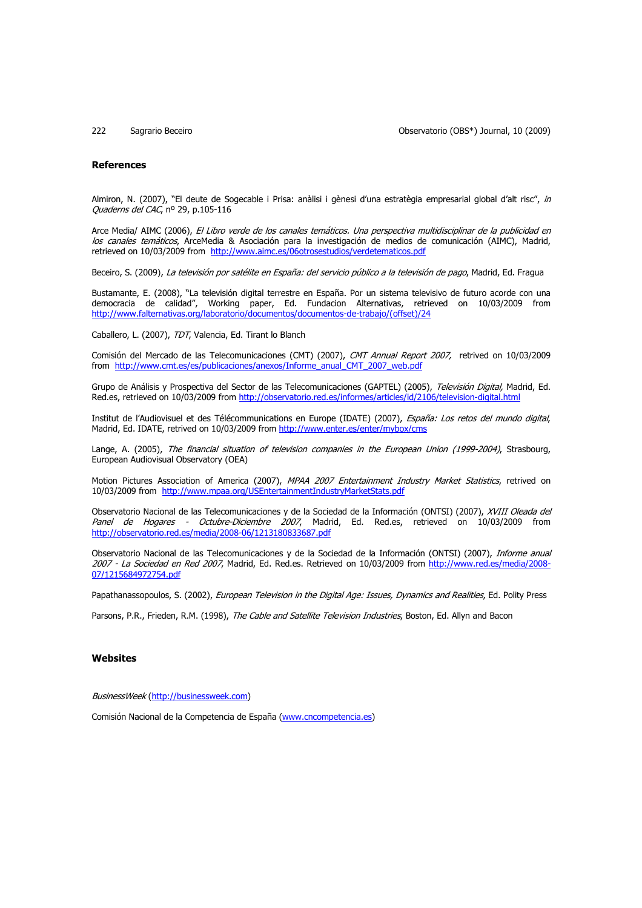222 Sagrario Beceiro Observatorio (OBS\*) Journal, 10 (2009)

### **References**

Almiron, N. (2007), "El deute de Sogecable i Prisa: anàlisi i gènesi d'una estratègia empresarial global d'alt risc", in Quaderns del CAC, nº 29, p.105-116

Arce Media/ AIMC (2006), El Libro verde de los canales temáticos. Una perspectiva multidisciplinar de la publicidad en los canales temáticos, ArceMedia & Asociación para la investigación de medios de comunicación (AIMC), Madrid, retrieved on 10/03/2009 from http://www.aimc.es/06otrosestudios/verdetematicos.pdf

Beceiro, S. (2009), La televisión por satélite en España: del servicio público a la televisión de pago, Madrid, Ed. Fragua

Bustamante, E. (2008), "La televisión digital terrestre en España. Por un sistema televisivo de futuro acorde con una democracia de calidad", Working paper, Ed. Fundacion Alternativas, retrieved on 10/03/2009 from http://www.falternativas.org/laboratorio/documentos/documentos-de-trabajo/(offset)/24

Caballero, L. (2007), TDT, Valencia, Ed. Tirant lo Blanch

Comisión del Mercado de las Telecomunicaciones (CMT) (2007), CMT Annual Report 2007, retrived on 10/03/2009 from http://www.cmt.es/es/publicaciones/anexos/Informe\_anual\_CMT\_2007\_web.pdf

Grupo de Análisis y Prospectiva del Sector de las Telecomunicaciones (GAPTEL) (2005), Televisión Digital, Madrid, Ed. Red.es, retrieved on 10/03/2009 from http://observatorio.red.es/informes/articles/id/2106/television-digital.html

Institut de l'Audiovisuel et des Télécommunications en Europe (IDATE) (2007), España: Los retos del mundo digital, Madrid, Ed. IDATE, retrived on 10/03/2009 from http://www.enter.es/enter/mybox/cms

Lange, A. (2005), The financial situation of television companies in the European Union (1999-2004), Strasbourg, European Audiovisual Observatory (OEA)

Motion Pictures Association of America (2007), MPAA 2007 Entertainment Industry Market Statistics, retrived on 10/03/2009 from http://www.mpaa.org/USEntertainmentIndustryMarketStats.pdf

Observatorio Nacional de las Telecomunicaciones y de la Sociedad de la Información (ONTSI) (2007), XVIII Oleada del Panel de Hogares - Octubre-Diciembre 2007, Madrid, Ed. Red.es, retrieved on 10/03/2009 from http://observatorio.red.es/media/2008-06/1213180833687.pdf

Observatorio Nacional de las Telecomunicaciones y de la Sociedad de la Información (ONTSI) (2007), *Informe anual* 2007 - La Sociedad en Red 2007, Madrid, Ed. Red.es. Retrieved on 10/03/2009 from http://www.red.es/media/2008- 07/1215684972754.pdf

Papathanassopoulos, S. (2002), European Television in the Digital Age: Issues, Dynamics and Realities, Ed. Polity Press

Parsons, P.R., Frieden, R.M. (1998), The Cable and Satellite Television Industries, Boston, Ed. Allyn and Bacon

### **Websites**

BusinessWeek (http://businessweek.com)

Comisión Nacional de la Competencia de España (www.cncompetencia.es)